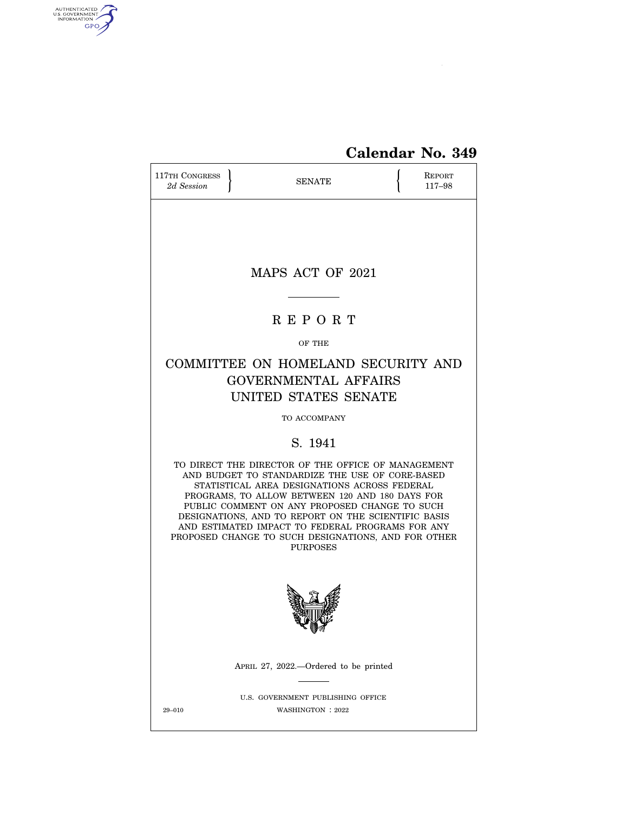

# **Calendar No. 349**

| 117TH CONGRESS<br>2d Session                                                                                                                                                                                                                                                                                                                                                                                                                   |  | <b>SENATE</b>                                          |  | REPORT<br>117-98 |  |  |
|------------------------------------------------------------------------------------------------------------------------------------------------------------------------------------------------------------------------------------------------------------------------------------------------------------------------------------------------------------------------------------------------------------------------------------------------|--|--------------------------------------------------------|--|------------------|--|--|
|                                                                                                                                                                                                                                                                                                                                                                                                                                                |  |                                                        |  |                  |  |  |
|                                                                                                                                                                                                                                                                                                                                                                                                                                                |  | MAPS ACT OF 2021                                       |  |                  |  |  |
|                                                                                                                                                                                                                                                                                                                                                                                                                                                |  | <b>REPORT</b>                                          |  |                  |  |  |
|                                                                                                                                                                                                                                                                                                                                                                                                                                                |  |                                                        |  |                  |  |  |
| OF THE<br>COMMITTEE ON HOMELAND SECURITY AND<br><b>GOVERNMENTAL AFFAIRS</b><br>UNITED STATES SENATE                                                                                                                                                                                                                                                                                                                                            |  |                                                        |  |                  |  |  |
|                                                                                                                                                                                                                                                                                                                                                                                                                                                |  | TO ACCOMPANY                                           |  |                  |  |  |
|                                                                                                                                                                                                                                                                                                                                                                                                                                                |  | S. 1941                                                |  |                  |  |  |
| TO DIRECT THE DIRECTOR OF THE OFFICE OF MANAGEMENT<br>AND BUDGET TO STANDARDIZE THE USE OF CORE-BASED<br>STATISTICAL AREA DESIGNATIONS ACROSS FEDERAL<br>PROGRAMS, TO ALLOW BETWEEN 120 AND 180 DAYS FOR<br>PUBLIC COMMENT ON ANY PROPOSED CHANGE TO SUCH<br>DESIGNATIONS, AND TO REPORT ON THE SCIENTIFIC BASIS<br>AND ESTIMATED IMPACT TO FEDERAL PROGRAMS FOR ANY<br>PROPOSED CHANGE TO SUCH DESIGNATIONS, AND FOR OTHER<br><b>PURPOSES</b> |  |                                                        |  |                  |  |  |
|                                                                                                                                                                                                                                                                                                                                                                                                                                                |  | ≮ (¶ 1                                                 |  |                  |  |  |
|                                                                                                                                                                                                                                                                                                                                                                                                                                                |  | APRIL 27, 2022.--Ordered to be printed                 |  |                  |  |  |
| 29-010                                                                                                                                                                                                                                                                                                                                                                                                                                         |  | U.S. GOVERNMENT PUBLISHING OFFICE<br>WASHINGTON : 2022 |  |                  |  |  |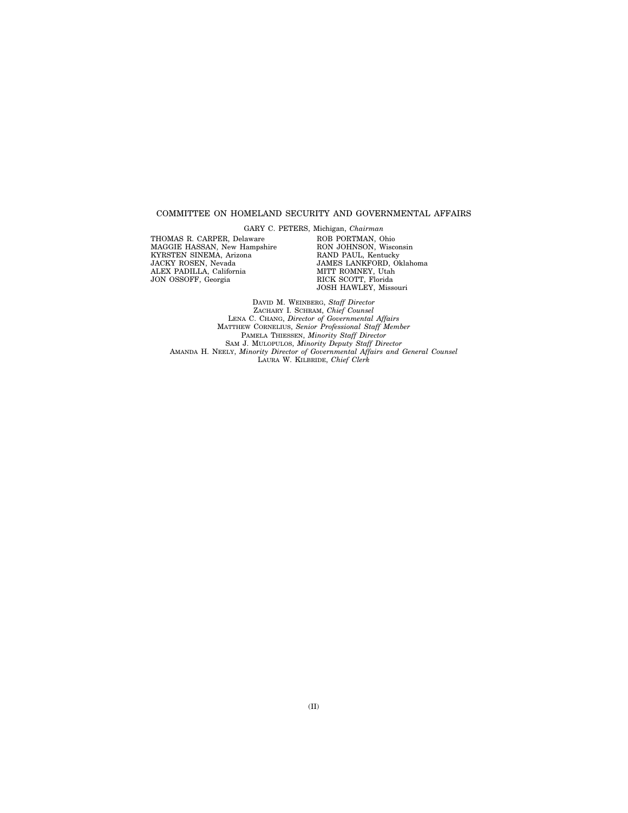#### COMMITTEE ON HOMELAND SECURITY AND GOVERNMENTAL AFFAIRS

THOMAS R. CARPER, Delaware MAGGIE HASSAN, New Hampshire KYRSTEN SINEMA, Arizona JACKY ROSEN, Nevada ALEX PADILLA, California JON OSSOFF, Georgia

GARY C. PETERS, Michigan, *Chairman*  ROB PORTMAN, Ohio RON JOHNSON, Wisconsin RAND PAUL, Kentucky JAMES LANKFORD, Oklahoma MITT ROMNEY, Utah RICK SCOTT, Florida JOSH HAWLEY, Missouri

DAVID M. WEINBERG, *Staff Director*  ZACHARY I. SCHRAM, *Chief Counsel*  LENA C. CHANG, *Director of Governmental Affairs*  MATTHEW CORNELIUS, *Senior Professional Staff Member*  PAMELA THIESSEN, *Minority Staff Director*  SAM J. MULOPULOS, *Minority Deputy Staff Director*  AMANDA H. NEELY, *Minority Director of Governmental Affairs and General Counsel*  LAURA W. KILBRIDE, *Chief Clerk*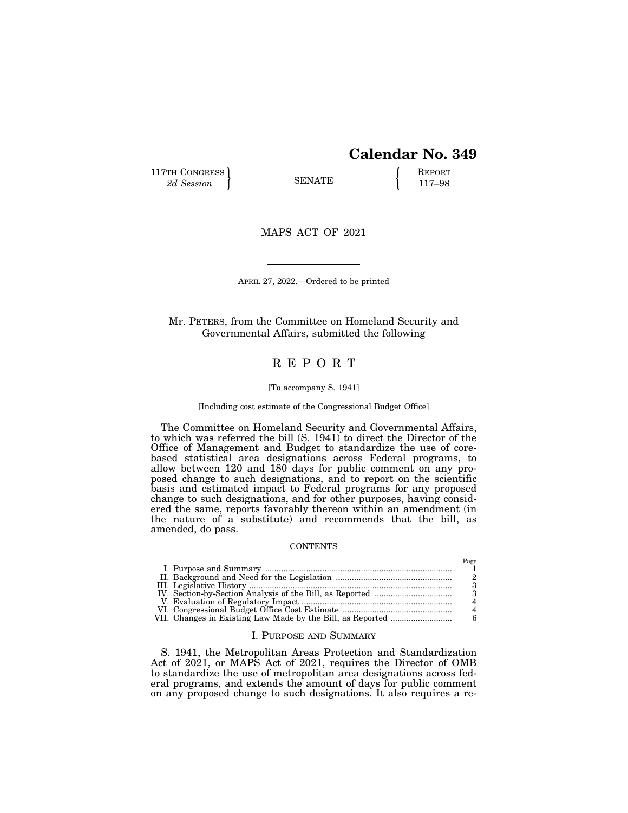## **Calendar No. 349**

 $D_{\alpha\alpha\alpha}$ 

117TH CONGRESS **REPORT** 2d Session **117–98** 

MAPS ACT OF 2021

APRIL 27, 2022.—Ordered to be printed

Mr. PETERS, from the Committee on Homeland Security and Governmental Affairs, submitted the following

### R E P O R T

#### [To accompany S. 1941]

### [Including cost estimate of the Congressional Budget Office]

The Committee on Homeland Security and Governmental Affairs, to which was referred the bill (S. 1941) to direct the Director of the Office of Management and Budget to standardize the use of corebased statistical area designations across Federal programs, to allow between 120 and 180 days for public comment on any proposed change to such designations, and to report on the scientific basis and estimated impact to Federal programs for any proposed change to such designations, and for other purposes, having considered the same, reports favorably thereon within an amendment (in the nature of a substitute) and recommends that the bill, as amended, do pass.

#### **CONTENTS**

|  | rage |
|--|------|
|  |      |
|  |      |
|  |      |
|  |      |
|  |      |
|  |      |
|  |      |
|  |      |

#### I. PURPOSE AND SUMMARY

S. 1941, the Metropolitan Areas Protection and Standardization Act of 2021, or MAPS Act of 2021, requires the Director of OMB to standardize the use of metropolitan area designations across federal programs, and extends the amount of days for public comment on any proposed change to such designations. It also requires a re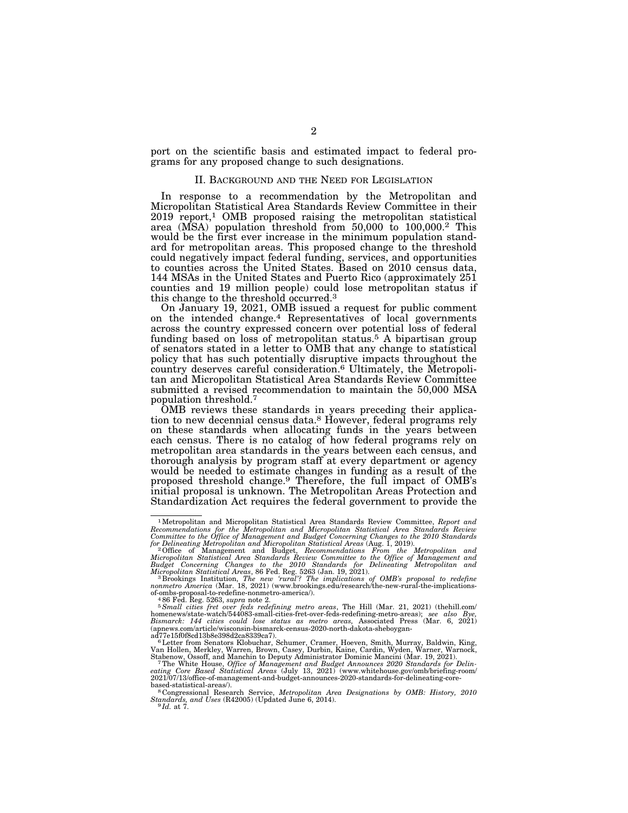port on the scientific basis and estimated impact to federal programs for any proposed change to such designations.

#### II. BACKGROUND AND THE NEED FOR LEGISLATION

In response to a recommendation by the Metropolitan and Micropolitan Statistical Area Standards Review Committee in their 2019 report,1 OMB proposed raising the metropolitan statistical area (MSA) population threshold from 50,000 to 100,000.2 This would be the first ever increase in the minimum population standard for metropolitan areas. This proposed change to the threshold could negatively impact federal funding, services, and opportunities to counties across the United States. Based on 2010 census data, 144 MSAs in the United States and Puerto Rico (approximately 251 counties and 19 million people) could lose metropolitan status if this change to the threshold occurred.3

On January 19, 2021, OMB issued a request for public comment on the intended change.4 Representatives of local governments across the country expressed concern over potential loss of federal funding based on loss of metropolitan status.5 A bipartisan group of senators stated in a letter to OMB that any change to statistical policy that has such potentially disruptive impacts throughout the country deserves careful consideration.6 Ultimately, the Metropolitan and Micropolitan Statistical Area Standards Review Committee submitted a revised recommendation to maintain the 50,000 MSA population threshold.7

OMB reviews these standards in years preceding their application to new decennial census data.8 However, federal programs rely on these standards when allocating funds in the years between each census. There is no catalog of how federal programs rely on metropolitan area standards in the years between each census, and thorough analysis by program staff at every department or agency would be needed to estimate changes in funding as a result of the proposed threshold change.9 Therefore, the full impact of OMB's initial proposal is unknown. The Metropolitan Areas Protection and Standardization Act requires the federal government to provide the

 $\begin{smallmatrix} 1 \text{ Metropolis} & 1 \text{Metropolis} \\ 1 \text{ Metropolis} & 1 \text{Det } \\ \end{smallmatrix} \begin{smallmatrix} 1 \text{Set~corrm and} \\ 1 \text{Set~corrm and} \\ 1 \text{Recomrmedations} \\ 1 \text{Gromumitted to the Office of Management and Budget Concerning Changes to the 2010 Standards} \\ 1 \text{Gromumitted to the Office of Management and Budget Concerning Changes to the 2010 Standards} \\ 1 \text{Gronepolar and Micropolitan Statistical Areas (Aug. 1, 2019). \\ 2 \text{ Office of Management and Budget, Reconstruction Front the Metropolitan and Micropoliton Statistical Area to the Office of Management and Budget. Concerning Changes to the 2010 Standards for Deline$ 

of-ombs-proposal-to-redefine-nonmetro-america/).<br><sup>5</sup> Small cities fret over feds redefining metro areas, The Hill (Mar. 21, 2021) (thehill.com/<br><sup>5</sup> Small cities fret over feds redefining-metro-areas); see also Bye,<br>homenew (apnews.com/article/wisconsin-bismarck-census-2020-north-dakota-sheboygan-

ad77e15f0f8cd13b8e398d2ca8339ca7).<br>
<sup>6</sup>Letter from Senators Klobuchar, Schumer, Cramer, Hoeven, Smith, Murray, Baldwin, King,<br>
<sup>6</sup>Letter from Senators Klobuchar, Schumer, Cramer, Hoeven, Smith, Murray, Baldwin, King,<br>
Van

based-statistical-areas/). <sup>7</sup> Sasearch Service, *Metropolitan Area Designations by OMB: History, 2010 Standards, and Uses* (R42005) (Updated June 6, 2014). 9 *Id.* at 7.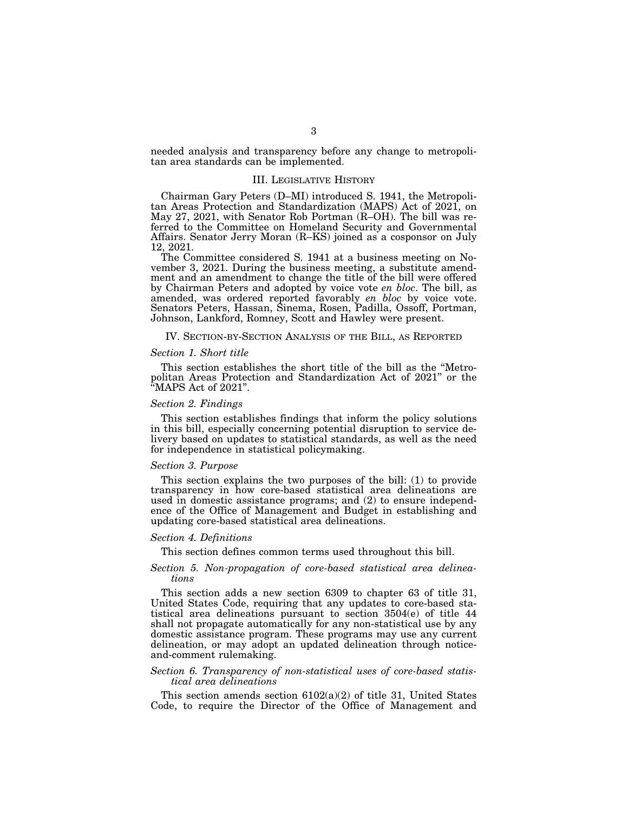needed analysis and transparency before any change to metropolitan area standards can be implemented.

### III. LEGISLATIVE HISTORY

Chairman Gary Peters (D–MI) introduced S. 1941, the Metropolitan Areas Protection and Standardization (MAPS) Act of 2021, on May 27, 2021, with Senator Rob Portman (R–OH). The bill was referred to the Committee on Homeland Security and Governmental Affairs. Senator Jerry Moran (R–KS) joined as a cosponsor on July 12, 2021.

The Committee considered S. 1941 at a business meeting on November 3, 2021. During the business meeting, a substitute amendment and an amendment to change the title of the bill were offered by Chairman Peters and adopted by voice vote *en bloc*. The bill, as amended, was ordered reported favorably *en bloc* by voice vote. Senators Peters, Hassan, Sinema, Rosen, Padilla, Ossoff, Portman, Johnson, Lankford, Romney, Scott and Hawley were present.

#### IV. SECTION-BY-SECTION ANALYSIS OF THE BILL, AS REPORTED

#### *Section 1. Short title*

This section establishes the short title of the bill as the ''Metropolitan Areas Protection and Standardization Act of 2021'' or the ''MAPS Act of 2021''.

#### *Section 2. Findings*

This section establishes findings that inform the policy solutions in this bill, especially concerning potential disruption to service delivery based on updates to statistical standards, as well as the need for independence in statistical policymaking.

#### *Section 3. Purpose*

This section explains the two purposes of the bill: (1) to provide transparency in how core-based statistical area delineations are used in domestic assistance programs; and (2) to ensure independence of the Office of Management and Budget in establishing and updating core-based statistical area delineations.

#### *Section 4. Definitions*

This section defines common terms used throughout this bill.

#### *Section 5. Non-propagation of core-based statistical area delineations*

This section adds a new section 6309 to chapter 63 of title 31, United States Code, requiring that any updates to core-based statistical area delineations pursuant to section 3504(e) of title 44 shall not propagate automatically for any non-statistical use by any domestic assistance program. These programs may use any current delineation, or may adopt an updated delineation through noticeand-comment rulemaking.

### *Section 6. Transparency of non-statistical uses of core-based statistical area delineations*

This section amends section  $6102(a)(2)$  of title 31, United States Code, to require the Director of the Office of Management and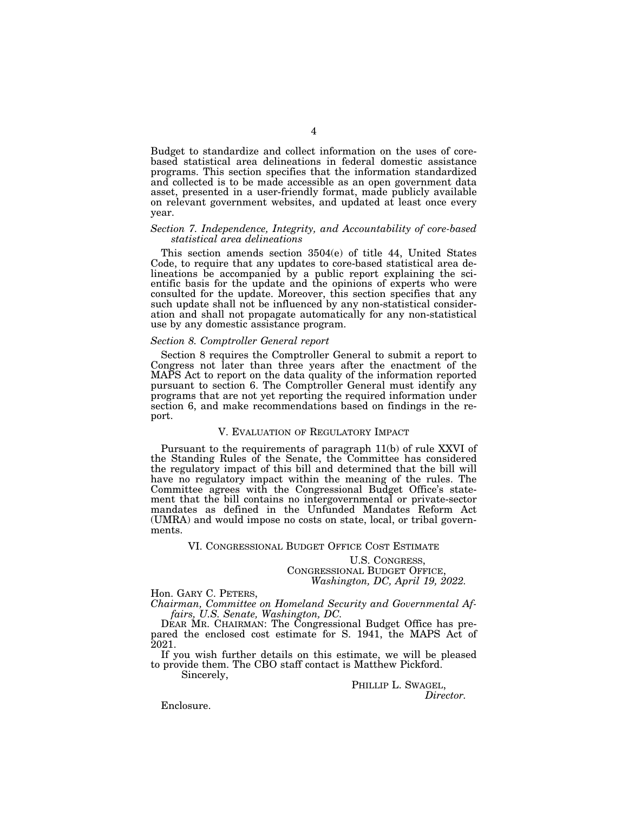Budget to standardize and collect information on the uses of corebased statistical area delineations in federal domestic assistance programs. This section specifies that the information standardized and collected is to be made accessible as an open government data asset, presented in a user-friendly format, made publicly available on relevant government websites, and updated at least once every year.

#### *Section 7. Independence, Integrity, and Accountability of core-based statistical area delineations*

This section amends section 3504(e) of title 44, United States Code, to require that any updates to core-based statistical area delineations be accompanied by a public report explaining the scientific basis for the update and the opinions of experts who were consulted for the update. Moreover, this section specifies that any such update shall not be influenced by any non-statistical consideration and shall not propagate automatically for any non-statistical use by any domestic assistance program.

### *Section 8. Comptroller General report*

Section 8 requires the Comptroller General to submit a report to Congress not later than three years after the enactment of the MAPS Act to report on the data quality of the information reported pursuant to section 6. The Comptroller General must identify any programs that are not yet reporting the required information under section 6, and make recommendations based on findings in the report.

### V. EVALUATION OF REGULATORY IMPACT

Pursuant to the requirements of paragraph 11(b) of rule XXVI of the Standing Rules of the Senate, the Committee has considered the regulatory impact of this bill and determined that the bill will have no regulatory impact within the meaning of the rules. The Committee agrees with the Congressional Budget Office's statement that the bill contains no intergovernmental or private-sector mandates as defined in the Unfunded Mandates Reform Act (UMRA) and would impose no costs on state, local, or tribal governments.

### VI. CONGRESSIONAL BUDGET OFFICE COST ESTIMATE

U.S. CONGRESS, CONGRESSIONAL BUDGET OFFICE, *Washington, DC, April 19, 2022.* 

Hon. GARY C. PETERS, *Chairman, Committee on Homeland Security and Governmental Affairs, U.S. Senate, Washington, DC.* 

DEAR MR. CHAIRMAN: The Congressional Budget Office has prepared the enclosed cost estimate for S. 1941, the MAPS Act of 2021.

If you wish further details on this estimate, we will be pleased to provide them. The CBO staff contact is Matthew Pickford.

Sincerely,

PHILLIP L. SWAGEL, *Director.* 

Enclosure.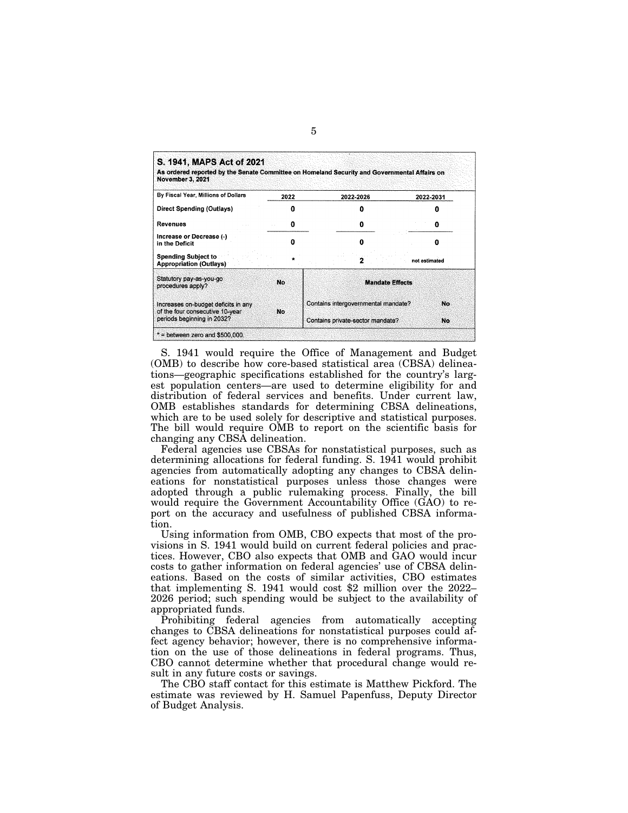| S. 1941, MAPS Act of 2021<br>As ordered reported by the Senate Committee on Homeland Security and Governmental Affairs on<br>November 3, 2021 |      |                                                                         |               |
|-----------------------------------------------------------------------------------------------------------------------------------------------|------|-------------------------------------------------------------------------|---------------|
| By Fiscal Year, Millions of Dollars                                                                                                           | 2022 | 2022-2026                                                               | 2022-2031     |
| Direct Spending (Outlays)                                                                                                                     |      | ŋ                                                                       |               |
| Revenues                                                                                                                                      | 0    | o                                                                       |               |
| Increase or Decrease (-)<br>in the Deficit                                                                                                    |      | o                                                                       | o             |
| <b>Spending Subject to</b><br><b>Appropriation (Outlays)</b>                                                                                  |      |                                                                         | not estimated |
| Statutory pay-as-you-go<br>procedures apply?                                                                                                  | No.  | <b>Mandate Effects</b>                                                  |               |
| Increases on-budget deficits in any<br>of the four consecutive 10-year<br>periods beginning in 2032?                                          | No   | Contains intergovernmental mandate?<br>Contains private-sector mandate? | No.<br>No     |
| $*$ = between zero and \$500,000.                                                                                                             |      |                                                                         |               |

S. 1941 would require the Office of Management and Budget (OMB) to describe how core-based statistical area (CBSA) delineations—geographic specifications established for the country's largest population centers—are used to determine eligibility for and distribution of federal services and benefits. Under current law, OMB establishes standards for determining CBSA delineations, which are to be used solely for descriptive and statistical purposes. The bill would require OMB to report on the scientific basis for changing any CBSA delineation.

Federal agencies use CBSAs for nonstatistical purposes, such as determining allocations for federal funding. S. 1941 would prohibit agencies from automatically adopting any changes to CBSA delineations for nonstatistical purposes unless those changes were adopted through a public rulemaking process. Finally, the bill would require the Government Accountability Office (GAO) to report on the accuracy and usefulness of published CBSA information.

Using information from OMB, CBO expects that most of the provisions in S. 1941 would build on current federal policies and practices. However, CBO also expects that OMB and GAO would incur costs to gather information on federal agencies' use of CBSA delineations. Based on the costs of similar activities, CBO estimates that implementing S. 1941 would cost \$2 million over the 2022– 2026 period; such spending would be subject to the availability of appropriated funds.

Prohibiting federal agencies from automatically accepting changes to CBSA delineations for nonstatistical purposes could affect agency behavior; however, there is no comprehensive information on the use of those delineations in federal programs. Thus, CBO cannot determine whether that procedural change would result in any future costs or savings.

The CBO staff contact for this estimate is Matthew Pickford. The estimate was reviewed by H. Samuel Papenfuss, Deputy Director of Budget Analysis.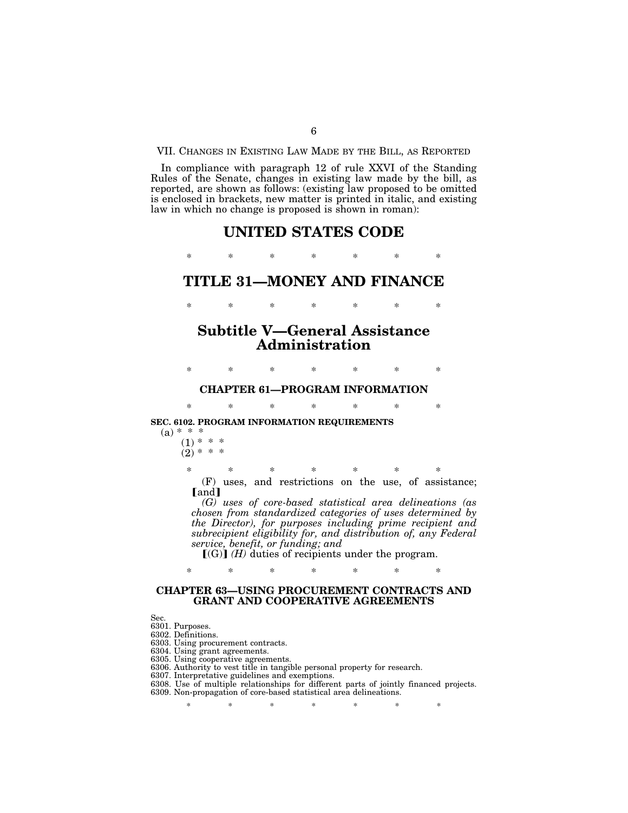VII. CHANGES IN EXISTING LAW MADE BY THE BILL, AS REPORTED

In compliance with paragraph 12 of rule XXVI of the Standing Rules of the Senate, changes in existing law made by the bill, as reported, are shown as follows: (existing law proposed to be omitted is enclosed in brackets, new matter is printed in italic, and existing law in which no change is proposed is shown in roman):

# **UNITED STATES CODE**

\* \* \* \* \* \* \*

### **TITLE 31—MONEY AND FINANCE**

\* \* \* \* \* \* \*

# **Subtitle V—General Assistance Administration**

\* \* \* \* \* \* \*

# **CHAPTER 61—PROGRAM INFORMATION**  \* \* \* \* \* \* \*

**SEC. 6102. PROGRAM INFORMATION REQUIREMENTS** 

 $(a) * * *$ 

 $(1) * *$  $(2) * * * *$ 

> \* \* \* \* \* \* \* (F) uses, and restrictions on the use, of assistance; [and]

*(G) uses of core-based statistical area delineations (as chosen from standardized categories of uses determined by the Director), for purposes including prime recipient and subrecipient eligibility for, and distribution of, any Federal service, benefit, or funding; and* 

 $[(G)]$   $(H)$  duties of recipients under the program.

### **CHAPTER 63—USING PROCUREMENT CONTRACTS AND GRANT AND COOPERATIVE AGREEMENTS**

\* \* \* \* \* \* \*

Sec.

6301. Purposes.

6302. Definitions.

6303. Using procurement contracts.

6304. Using grant agreements.

6305. Using cooperative agreements.

6306. Authority to vest title in tangible personal property for research.

6307. Interpretative guidelines and exemptions.

6308. Use of multiple relationships for different parts of jointly financed projects.

6309. Non-propagation of core-based statistical area delineations.

\* \* \* \* \* \* \* \*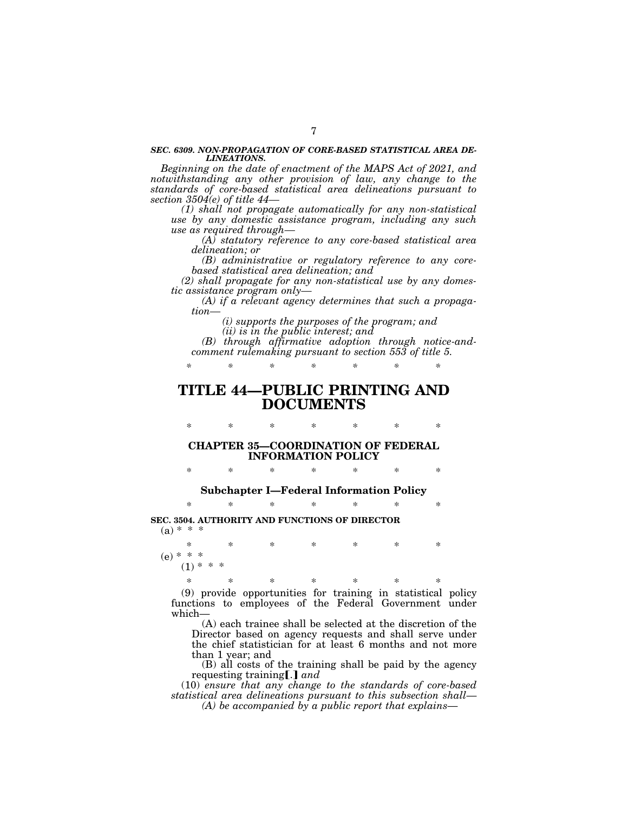#### *SEC. 6309. NON-PROPAGATION OF CORE-BASED STATISTICAL AREA DE-LINEATIONS.*

*Beginning on the date of enactment of the MAPS Act of 2021, and notwithstanding any other provision of law, any change to the standards of core-based statistical area delineations pursuant to section 3504(e) of title 44—* 

*(1) shall not propagate automatically for any non-statistical use by any domestic assistance program, including any such use as required through—* 

*(A) statutory reference to any core-based statistical area delineation; or* 

*(B) administrative or regulatory reference to any corebased statistical area delineation; and* 

*(2) shall propagate for any non-statistical use by any domestic assistance program only—* 

*(A) if a relevant agency determines that such a propagation—* 

*(i) supports the purposes of the program; and* 

*(ii) is in the public interest; and* 

*(B) through affirmative adoption through notice-andcomment rulemaking pursuant to section 553 of title 5.* 

*\* \* \* \* \* \* \** 

# **TITLE 44—PUBLIC PRINTING AND DOCUMENTS**

\* \* \* \* \* \* \* **CHAPTER 35—COORDINATION OF FEDERAL INFORMATION POLICY** 

\* \* \* \* \* \* \*

**Subchapter I—Federal Information Policy** 

\* \* \* \* \* \* \*

**SEC. 3504. AUTHORITY AND FUNCTIONS OF DIRECTOR**   $(a) * * * *$ 

\* \* \* \* \* \* \*  $(e) * * * *$ <br>(1)  $* *$  $(1)$ 

\* \* \* \* \* \* \* (9) provide opportunities for training in statistical policy functions to employees of the Federal Government under which—

(A) each trainee shall be selected at the discretion of the Director based on agency requests and shall serve under the chief statistician for at least 6 months and not more than 1 year; and

(B) all costs of the training shall be paid by the agency requesting training [.] and

(10) *ensure that any change to the standards of core-based statistical area delineations pursuant to this subsection shall*— *(A) be accompanied by a public report that explains*—